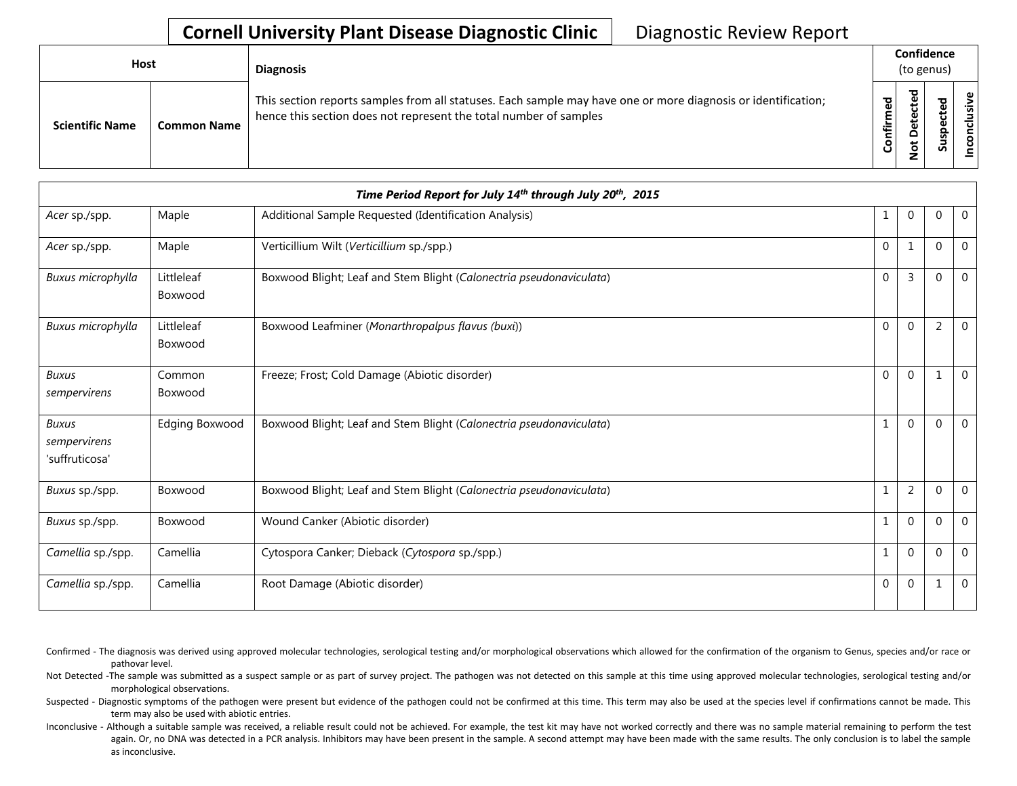| Host                   |                    | <b>Diagnosis</b>                                                                                                                                                                   |                     | Confidence<br>(to genus) |             |  |  |
|------------------------|--------------------|------------------------------------------------------------------------------------------------------------------------------------------------------------------------------------|---------------------|--------------------------|-------------|--|--|
| <b>Scientific Name</b> | <b>Common Name</b> | This section reports samples from all statuses. Each sample may have one or more diagnosis or identification;<br>hence this section does not represent the total number of samples | ष्ठा<br>∉<br>۰<br>ں | ъ                        | 요<br>ທ<br>n |  |  |

| Time Period Report for July 14th through July 20th, 2015 |                       |                                                                     |              |                |                |              |  |  |  |
|----------------------------------------------------------|-----------------------|---------------------------------------------------------------------|--------------|----------------|----------------|--------------|--|--|--|
| Acer sp./spp.                                            | Maple                 | Additional Sample Requested (Identification Analysis)               | 1            | $\Omega$       | 0              | $\mathbf 0$  |  |  |  |
| Acer sp./spp.                                            | Maple                 | Verticillium Wilt (Verticillium sp./spp.)                           | $\Omega$     | $\mathbf{1}$   | $\Omega$       | $\mathbf 0$  |  |  |  |
| Buxus microphylla                                        | Littleleaf<br>Boxwood | Boxwood Blight; Leaf and Stem Blight (Calonectria pseudonaviculata) | $\Omega$     | $\overline{3}$ | $\Omega$       | $\Omega$     |  |  |  |
| Buxus microphylla                                        | Littleleaf<br>Boxwood | Boxwood Leafminer (Monarthropalpus flavus (buxi))                   | $\mathbf{0}$ | $\Omega$       | $\overline{2}$ | $\mathbf 0$  |  |  |  |
| <b>Buxus</b><br>sempervirens                             | Common<br>Boxwood     | Freeze; Frost; Cold Damage (Abiotic disorder)                       | $\Omega$     | $\Omega$       |                | $\mathbf{0}$ |  |  |  |
| <b>Buxus</b><br>sempervirens<br>'suffruticosa'           | <b>Edging Boxwood</b> | Boxwood Blight; Leaf and Stem Blight (Calonectria pseudonaviculata) | $\mathbf{1}$ | $\Omega$       | $\Omega$       | $\mathbf{0}$ |  |  |  |
| Buxus sp./spp.                                           | Boxwood               | Boxwood Blight; Leaf and Stem Blight (Calonectria pseudonaviculata) | $\mathbf{1}$ | $\overline{2}$ | $\Omega$       | $\mathbf 0$  |  |  |  |
| Buxus sp./spp.                                           | Boxwood               | Wound Canker (Abiotic disorder)                                     | $\mathbf{1}$ | $\Omega$       | $\Omega$       | $\mathbf{0}$ |  |  |  |
| Camellia sp./spp.                                        | Camellia              | Cytospora Canker; Dieback (Cytospora sp./spp.)                      | $\mathbf{1}$ | $\Omega$       | $\Omega$       | $\mathbf 0$  |  |  |  |
| Camellia sp./spp.                                        | Camellia              | Root Damage (Abiotic disorder)                                      | $\Omega$     | $\Omega$       | 1              | $\mathbf 0$  |  |  |  |

Confirmed - The diagnosis was derived using approved molecular technologies, serological testing and/or morphological observations which allowed for the confirmation of the organism to Genus, species and/or race or pathovar level.

Not Detected -The sample was submitted as a suspect sample or as part of survey project. The pathogen was not detected on this sample at this time using approved molecular technologies, serological testing and/or morphological observations.

Suspected - Diagnostic symptoms of the pathogen were present but evidence of the pathogen could not be confirmed at this time. This term may also be used at the species level if confirmations cannot be made. This term may also be used with abiotic entries.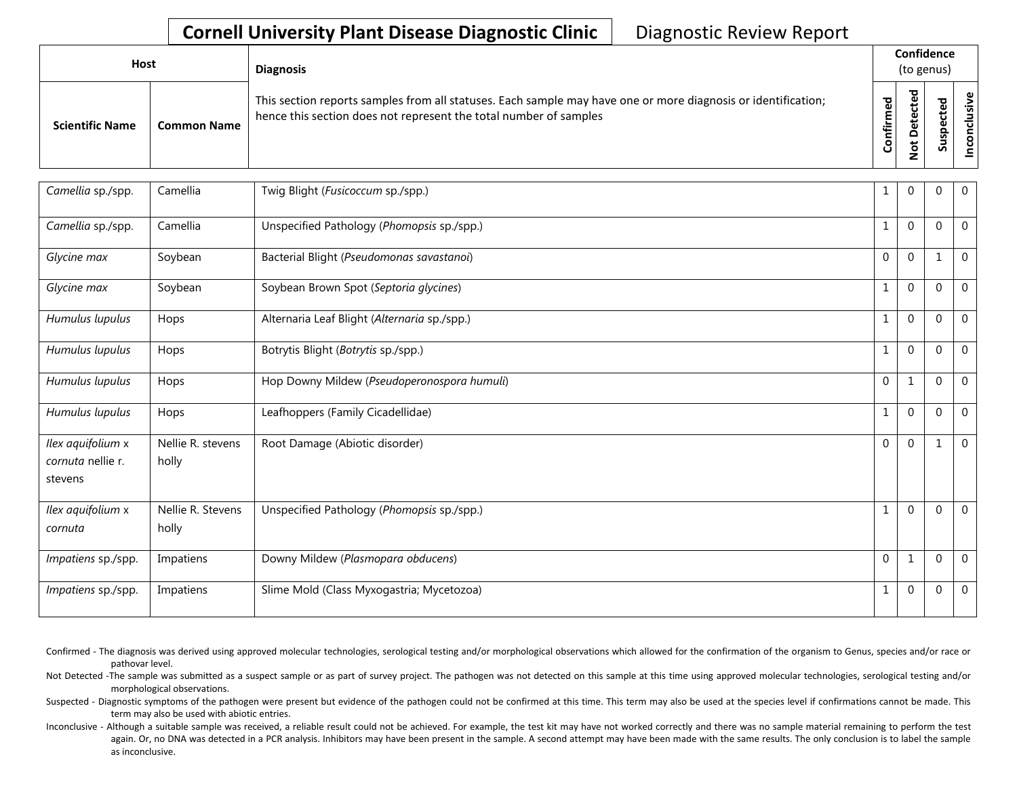| Host                   |                    | <b>Diagnosis</b>                                                                                                                                                                   |                      | Confidence<br>(to genus)                                 |         |                   |
|------------------------|--------------------|------------------------------------------------------------------------------------------------------------------------------------------------------------------------------------|----------------------|----------------------------------------------------------|---------|-------------------|
| <b>Scientific Name</b> | <b>Common Name</b> | This section reports samples from all statuses. Each sample may have one or more diagnosis or identification;<br>hence this section does not represent the total number of samples | ЪЪ<br>∸.<br>둘<br>ပြု | ᅙ<br>ω<br>Φ<br>۵<br>۵<br>$\overline{\sigma}$<br>-<br>c., | ᇴ<br>ഄഁ | lusive<br>᠊ᠣ<br>S |

| Camellia sp./spp.                                 | Camellia                   | Twig Blight (Fusicoccum sp./spp.)            | 1            | $\Omega$     | 0            | $\mathbf 0$    |
|---------------------------------------------------|----------------------------|----------------------------------------------|--------------|--------------|--------------|----------------|
| Camellia sp./spp.                                 | Camellia                   | Unspecified Pathology (Phomopsis sp./spp.)   | $\mathbf{1}$ | $\Omega$     | $\Omega$     | $\mathbf 0$    |
| Glycine max                                       | Soybean                    | Bacterial Blight (Pseudomonas savastanoi)    | $\Omega$     | $\Omega$     | $\mathbf{1}$ | $\mathbf{0}$   |
| Glycine max                                       | Soybean                    | Soybean Brown Spot (Septoria glycines)       | $\mathbf{1}$ | $\mathbf{0}$ | $\mathbf 0$  | $\overline{0}$ |
| Humulus lupulus                                   | Hops                       | Alternaria Leaf Blight (Alternaria sp./spp.) | 1            | $\mathbf{0}$ | 0            | $\mathbf 0$    |
| Humulus lupulus                                   | Hops                       | Botrytis Blight (Botrytis sp./spp.)          | $\mathbf{1}$ | $\Omega$     | $\Omega$     | $\mathbf{0}$   |
| Humulus lupulus                                   | Hops                       | Hop Downy Mildew (Pseudoperonospora humuli)  | $\mathbf 0$  | $\mathbf{1}$ | 0            | $\mathbf{0}$   |
| Humulus lupulus                                   | Hops                       | Leafhoppers (Family Cicadellidae)            | $\mathbf{1}$ | $\Omega$     | $\Omega$     | $\mathbf 0$    |
| Ilex aquifolium x<br>cornuta nellie r.<br>stevens | Nellie R. stevens<br>holly | Root Damage (Abiotic disorder)               | $\Omega$     | $\Omega$     | 1            | $\mathbf 0$    |
| Ilex aquifolium x<br>cornuta                      | Nellie R. Stevens<br>holly | Unspecified Pathology (Phomopsis sp./spp.)   | $\mathbf{1}$ | $\mathbf{0}$ | 0            | $\overline{0}$ |
| Impatiens sp./spp.                                | Impatiens                  | Downy Mildew (Plasmopara obducens)           | $\mathbf{0}$ | $\mathbf{1}$ | 0            | $\mathbf 0$    |
| Impatiens sp./spp.                                | Impatiens                  | Slime Mold (Class Myxogastria; Mycetozoa)    | $\mathbf{1}$ | $\Omega$     | $\Omega$     | $\mathbf{0}$   |

Confirmed - The diagnosis was derived using approved molecular technologies, serological testing and/or morphological observations which allowed for the confirmation of the organism to Genus, species and/or race or pathovar level.

Not Detected -The sample was submitted as a suspect sample or as part of survey project. The pathogen was not detected on this sample at this time using approved molecular technologies, serological testing and/or morphological observations.

Suspected - Diagnostic symptoms of the pathogen were present but evidence of the pathogen could not be confirmed at this time. This term may also be used at the species level if confirmations cannot be made. This term may also be used with abiotic entries.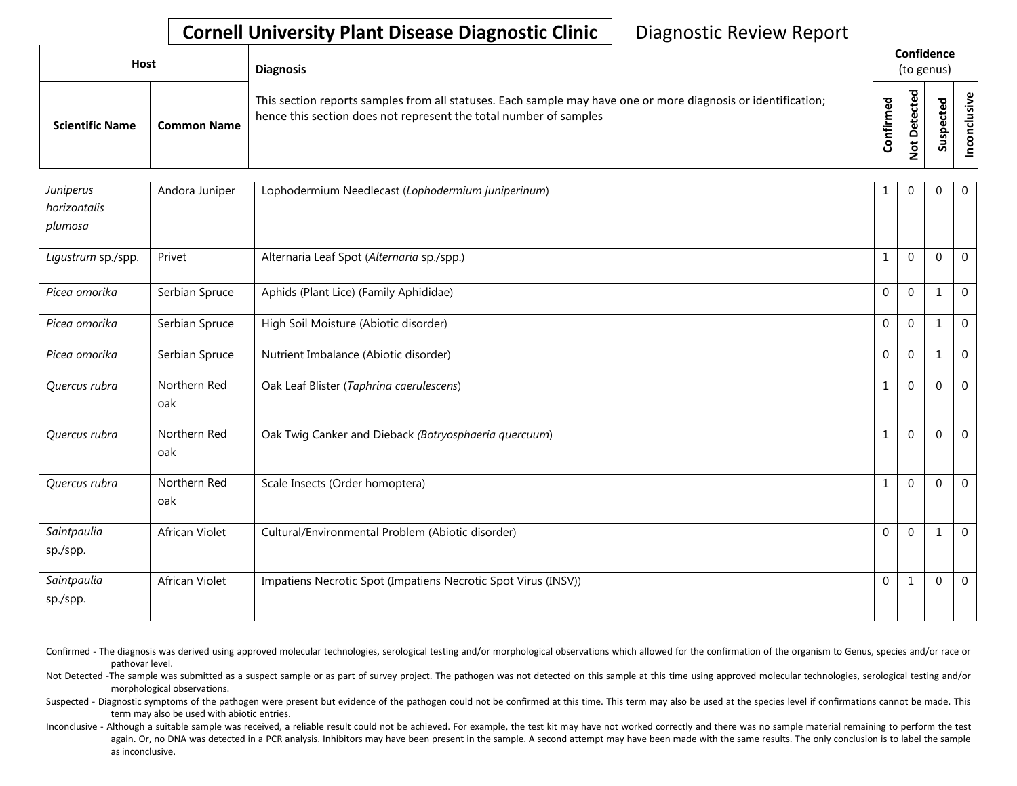| Host                   |                    | <b>Diagnosis</b>                                                                                                                                                                   |                   | Confidence<br>(to genus)                               |                             |               |
|------------------------|--------------------|------------------------------------------------------------------------------------------------------------------------------------------------------------------------------------|-------------------|--------------------------------------------------------|-----------------------------|---------------|
| <b>Scientific Name</b> | <b>Common Name</b> | This section reports samples from all statuses. Each sample may have one or more diagnosis or identification;<br>hence this section does not represent the total number of samples | ᇴ<br>ω<br>Confiri | ਹ<br>ê<br>G<br>ω<br>ã<br>۵<br>$\overline{\sigma}$<br>- | ᅙ<br>ደ<br>ن<br>௨<br>9<br>ഄഁ | clusiv<br>pco |

| Juniperus<br>horizontalis<br>plumosa | Andora Juniper      | Lophodermium Needlecast (Lophodermium juniperinum)             | 1            | $\Omega$    | 0              | $\mathbf{0}$   |
|--------------------------------------|---------------------|----------------------------------------------------------------|--------------|-------------|----------------|----------------|
| Ligustrum sp./spp.                   | Privet              | Alternaria Leaf Spot (Alternaria sp./spp.)                     | 1            | $\Omega$    | $\mathbf 0$    | $\overline{0}$ |
| Picea omorika                        | Serbian Spruce      | Aphids (Plant Lice) (Family Aphididae)                         | $\Omega$     | $\Omega$    |                | $\mathbf 0$    |
| Picea omorika                        | Serbian Spruce      | High Soil Moisture (Abiotic disorder)                          | $\Omega$     | $\Omega$    | 1              | $\mathbf 0$    |
| Picea omorika                        | Serbian Spruce      | Nutrient Imbalance (Abiotic disorder)                          | $\Omega$     | $\Omega$    | 1              | $\overline{0}$ |
| Quercus rubra                        | Northern Red<br>oak | Oak Leaf Blister (Taphrina caerulescens)                       | $\mathbf{1}$ | $\Omega$    | $\Omega$       | $\mathbf{0}$   |
| Quercus rubra                        | Northern Red<br>oak | Oak Twig Canker and Dieback (Botryosphaeria quercuum)          |              | $\Omega$    | $\overline{0}$ | $\mathbf{0}$   |
| Quercus rubra                        | Northern Red<br>oak | Scale Insects (Order homoptera)                                | $\mathbf 1$  | $\mathbf 0$ | $\mathbf 0$    | $\overline{0}$ |
| Saintpaulia<br>sp./spp.              | African Violet      | Cultural/Environmental Problem (Abiotic disorder)              | $\Omega$     | $\Omega$    | 1              | $\overline{0}$ |
| Saintpaulia<br>sp./spp.              | African Violet      | Impatiens Necrotic Spot (Impatiens Necrotic Spot Virus (INSV)) | $\mathbf 0$  | 1           | $\mathbf 0$    | $\Omega$       |

Confirmed - The diagnosis was derived using approved molecular technologies, serological testing and/or morphological observations which allowed for the confirmation of the organism to Genus, species and/or race or pathovar level.

Not Detected -The sample was submitted as a suspect sample or as part of survey project. The pathogen was not detected on this sample at this time using approved molecular technologies, serological testing and/or morphological observations.

Suspected - Diagnostic symptoms of the pathogen were present but evidence of the pathogen could not be confirmed at this time. This term may also be used at the species level if confirmations cannot be made. This term may also be used with abiotic entries.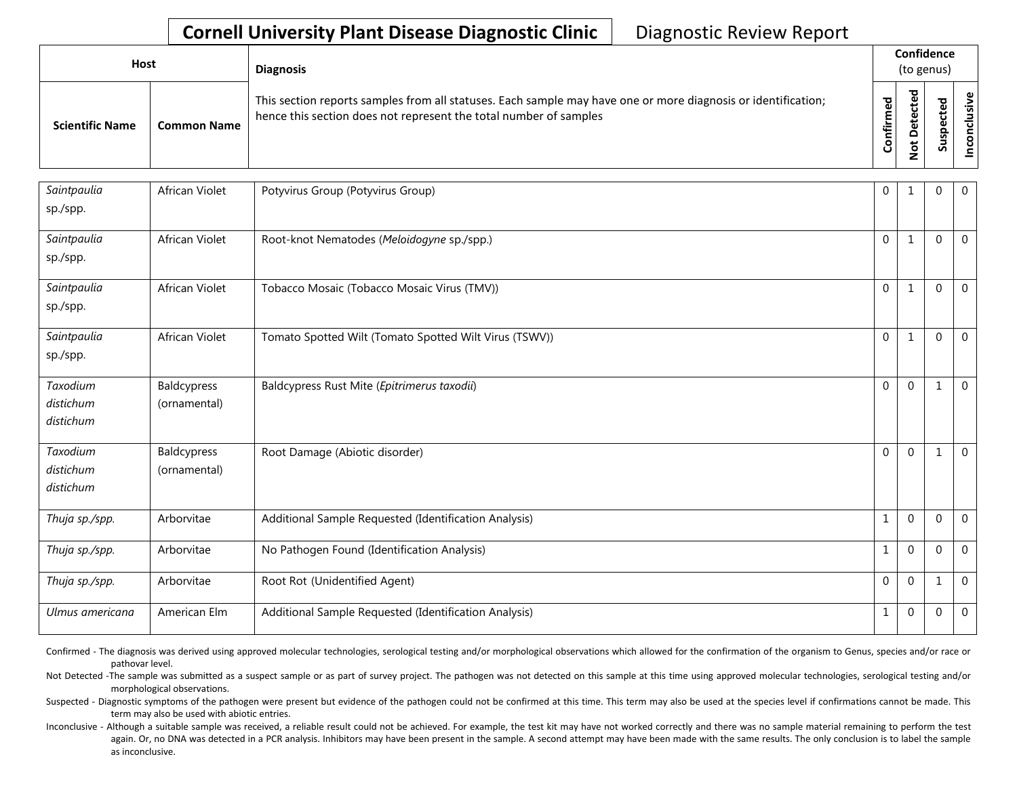| Host                   |                    | <b>Diagnosis</b>                                                                                                                                                                   |                   | Confidence<br>(to genus)                               |                         |               |
|------------------------|--------------------|------------------------------------------------------------------------------------------------------------------------------------------------------------------------------------|-------------------|--------------------------------------------------------|-------------------------|---------------|
| <b>Scientific Name</b> | <b>Common Name</b> | This section reports samples from all statuses. Each sample may have one or more diagnosis or identification;<br>hence this section does not represent the total number of samples | ᅙ<br>Φ<br>Confirm | ᅙ<br>ē<br>U<br>Φ<br>ã<br>≏<br>$\overline{\sigma}$<br>- | ъ<br>ደ<br>ن<br>௨<br>Sus | clusiv<br>nco |

| Saintpaulia<br>sp./spp.            | African Violet              | Potyvirus Group (Potyvirus Group)                      | 0              | -1           | $\Omega$     | $\overline{0}$ |
|------------------------------------|-----------------------------|--------------------------------------------------------|----------------|--------------|--------------|----------------|
| Saintpaulia<br>sp./spp.            | African Violet              | Root-knot Nematodes (Meloidogyne sp./spp.)             | $\Omega$       | -1           | $\Omega$     | $\overline{0}$ |
| Saintpaulia<br>sp./spp.            | African Violet              | Tobacco Mosaic (Tobacco Mosaic Virus (TMV))            | $\mathbf{0}$   | $\mathbf{1}$ | $\mathbf 0$  | $\overline{0}$ |
| Saintpaulia<br>sp./spp.            | African Violet              | Tomato Spotted Wilt (Tomato Spotted Wilt Virus (TSWV)) | $\mathbf{0}$   | $\mathbf{1}$ | $\mathbf 0$  | $\mathbf 0$    |
| Taxodium<br>distichum<br>distichum | Baldcypress<br>(ornamental) | Baldcypress Rust Mite (Epitrimerus taxodii)            | $\mathbf{0}$   | $\mathbf 0$  | -1           | $\mathbf 0$    |
| Taxodium<br>distichum<br>distichum | Baldcypress<br>(ornamental) | Root Damage (Abiotic disorder)                         | $\overline{0}$ | $\Omega$     | -1           | $\mathbf 0$    |
| Thuja sp./spp.                     | Arborvitae                  | Additional Sample Requested (Identification Analysis)  | 1              | $\Omega$     | $\mathbf{0}$ | $\mathbf 0$    |
| Thuja sp./spp.                     | Arborvitae                  | No Pathogen Found (Identification Analysis)            | 1              | $\mathbf 0$  | 0            | $\mathbf 0$    |
| Thuja sp./spp.                     | Arborvitae                  | Root Rot (Unidentified Agent)                          | $\mathbf{0}$   | $\Omega$     | 1            | $\overline{0}$ |
| Ulmus americana                    | American Elm                | Additional Sample Requested (Identification Analysis)  | $\mathbf{1}$   | $\mathbf{0}$ | $\mathbf 0$  | $\overline{0}$ |

Confirmed - The diagnosis was derived using approved molecular technologies, serological testing and/or morphological observations which allowed for the confirmation of the organism to Genus, species and/or race or pathovar level.

Not Detected -The sample was submitted as a suspect sample or as part of survey project. The pathogen was not detected on this sample at this time using approved molecular technologies, serological testing and/or morphological observations.

Suspected - Diagnostic symptoms of the pathogen were present but evidence of the pathogen could not be confirmed at this time. This term may also be used at the species level if confirmations cannot be made. This term may also be used with abiotic entries.